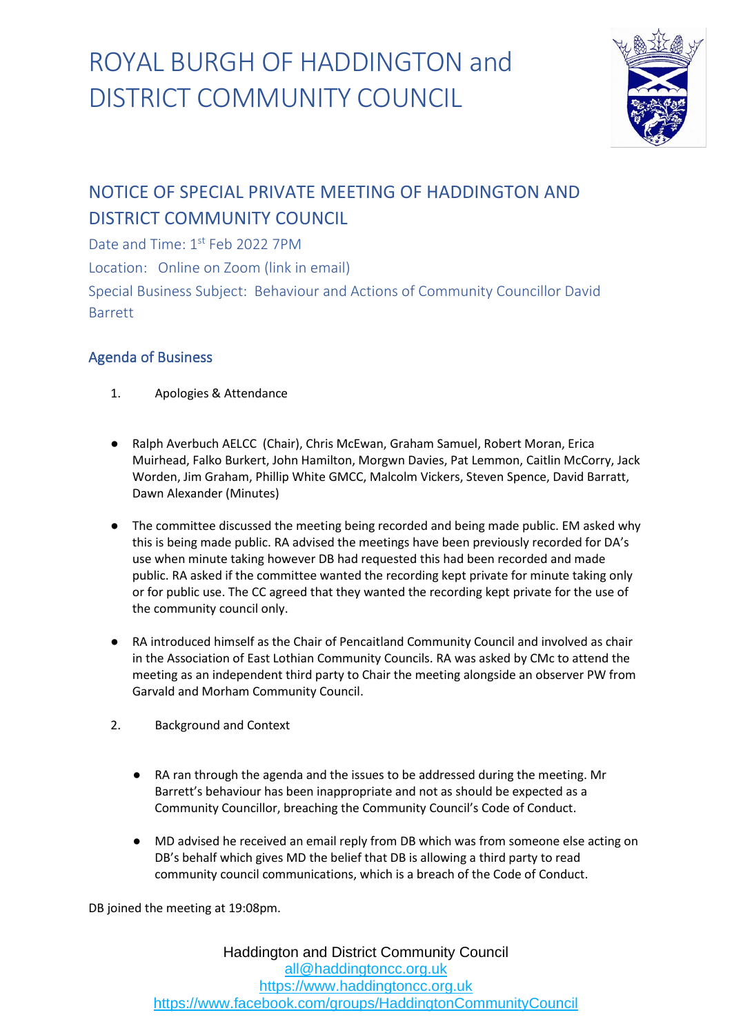

#### NOTICE OF SPECIAL PRIVATE MEETING OF HADDINGTON AND DISTRICT COMMUNITY COUNCIL

Date and Time: 1st Feb 2022 7PM

Location: Online on Zoom (link in email)

Special Business Subject: Behaviour and Actions of Community Councillor David Barrett

#### Agenda of Business

- 1. Apologies & Attendance
- Ralph Averbuch AELCC (Chair), Chris McEwan, Graham Samuel, Robert Moran, Erica Muirhead, Falko Burkert, John Hamilton, Morgwn Davies, Pat Lemmon, Caitlin McCorry, Jack Worden, Jim Graham, Phillip White GMCC, Malcolm Vickers, Steven Spence, David Barratt, Dawn Alexander (Minutes)
- The committee discussed the meeting being recorded and being made public. EM asked why this is being made public. RA advised the meetings have been previously recorded for DA's use when minute taking however DB had requested this had been recorded and made public. RA asked if the committee wanted the recording kept private for minute taking only or for public use. The CC agreed that they wanted the recording kept private for the use of the community council only.
- RA introduced himself as the Chair of Pencaitland Community Council and involved as chair in the Association of East Lothian Community Councils. RA was asked by CMc to attend the meeting as an independent third party to Chair the meeting alongside an observer PW from Garvald and Morham Community Council.
- 2. Background and Context
	- RA ran through the agenda and the issues to be addressed during the meeting. Mr Barrett's behaviour has been inappropriate and not as should be expected as a Community Councillor, breaching the Community Council's Code of Conduct.
	- MD advised he received an email reply from DB which was from someone else acting on DB's behalf which gives MD the belief that DB is allowing a third party to read community council communications, which is a breach of the Code of Conduct.

DB joined the meeting at 19:08pm.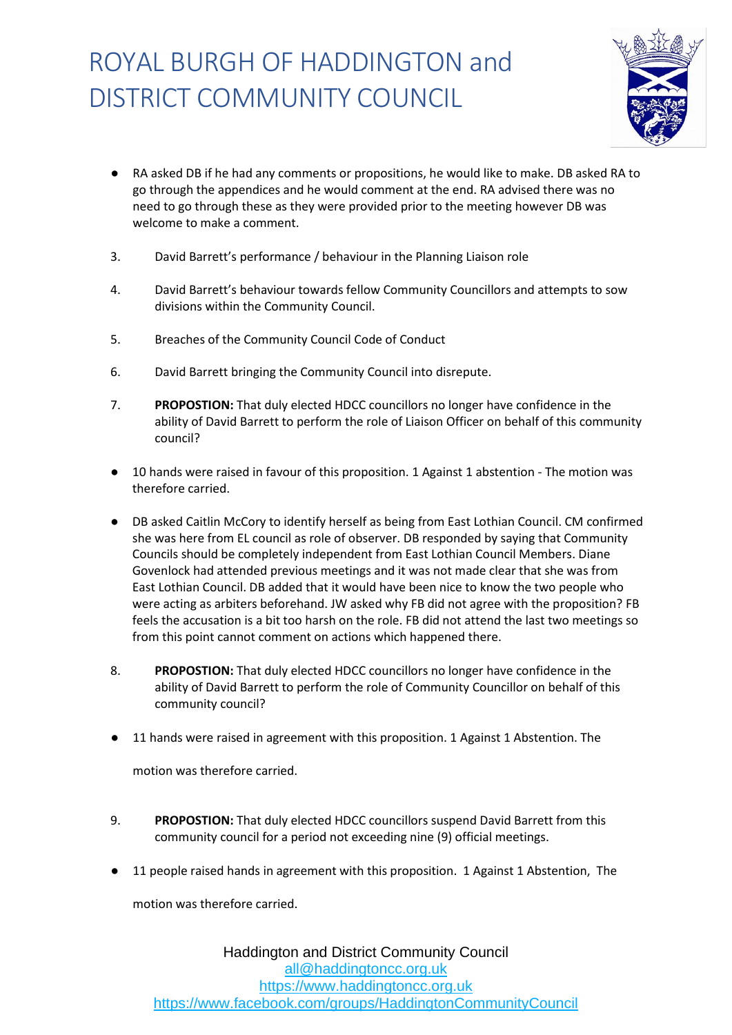

- RA asked DB if he had any comments or propositions, he would like to make. DB asked RA to go through the appendices and he would comment at the end. RA advised there was no need to go through these as they were provided prior to the meeting however DB was welcome to make a comment.
- 3. David Barrett's performance / behaviour in the Planning Liaison role
- 4. David Barrett's behaviour towards fellow Community Councillors and attempts to sow divisions within the Community Council.
- 5. Breaches of the Community Council Code of Conduct
- 6. David Barrett bringing the Community Council into disrepute.
- 7. **PROPOSTION:** That duly elected HDCC councillors no longer have confidence in the ability of David Barrett to perform the role of Liaison Officer on behalf of this community council?
- 10 hands were raised in favour of this proposition. 1 Against 1 abstention The motion was therefore carried.
- DB asked Caitlin McCory to identify herself as being from East Lothian Council. CM confirmed she was here from EL council as role of observer. DB responded by saying that Community Councils should be completely independent from East Lothian Council Members. Diane Govenlock had attended previous meetings and it was not made clear that she was from East Lothian Council. DB added that it would have been nice to know the two people who were acting as arbiters beforehand. JW asked why FB did not agree with the proposition? FB feels the accusation is a bit too harsh on the role. FB did not attend the last two meetings so from this point cannot comment on actions which happened there.
- 8. **PROPOSTION:** That duly elected HDCC councillors no longer have confidence in the ability of David Barrett to perform the role of Community Councillor on behalf of this community council?
- 11 hands were raised in agreement with this proposition. 1 Against 1 Abstention. The

motion was therefore carried.

- 9. **PROPOSTION:** That duly elected HDCC councillors suspend David Barrett from this community council for a period not exceeding nine (9) official meetings.
- 11 people raised hands in agreement with this proposition. 1 Against 1 Abstention, The

motion was therefore carried.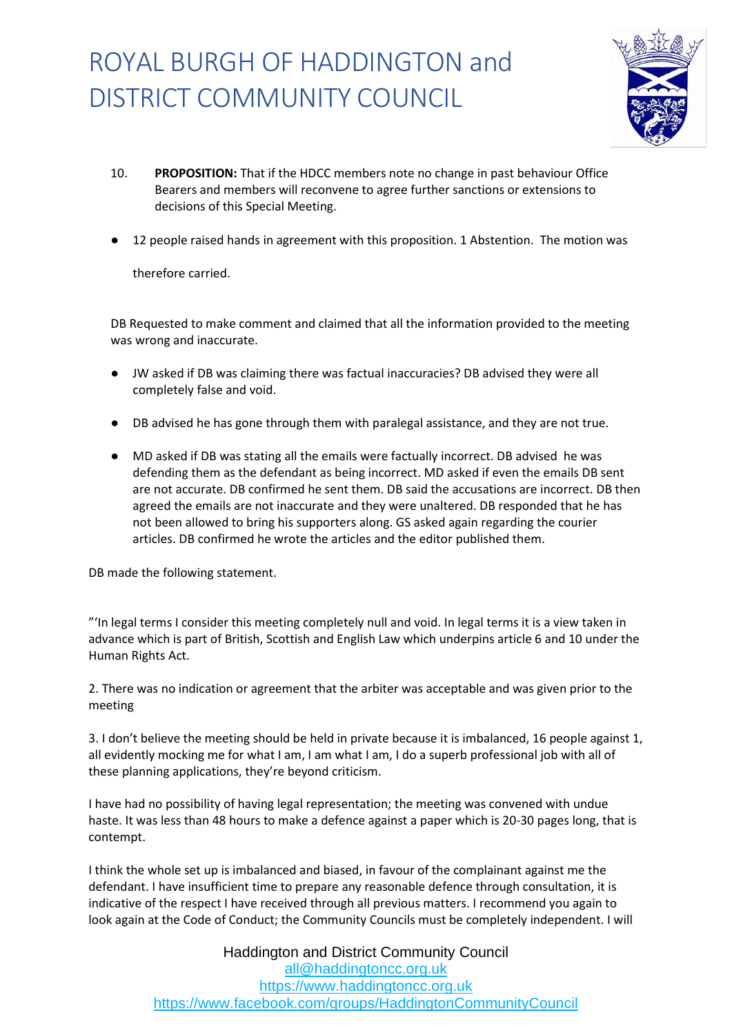

- 10. **PROPOSITION:** That if the HDCC members note no change in past behaviour Office Bearers and members will reconvene to agree further sanctions or extensions to decisions of this Special Meeting.
- 12 people raised hands in agreement with this proposition. 1 Abstention. The motion was

therefore carried.

DB Requested to make comment and claimed that all the information provided to the meeting was wrong and inaccurate.

- JW asked if DB was claiming there was factual inaccuracies? DB advised they were all completely false and void.
- DB advised he has gone through them with paralegal assistance, and they are not true.
- MD asked if DB was stating all the emails were factually incorrect. DB advised he was defending them as the defendant as being incorrect. MD asked if even the emails DB sent are not accurate. DB confirmed he sent them. DB said the accusations are incorrect. DB then agreed the emails are not inaccurate and they were unaltered. DB responded that he has not been allowed to bring his supporters along. GS asked again regarding the courier articles. DB confirmed he wrote the articles and the editor published them.

DB made the following statement.

"'In legal terms I consider this meeting completely null and void. In legal terms it is a view taken in advance which is part of British, Scottish and English Law which underpins article 6 and 10 under the Human Rights Act.

2. There was no indication or agreement that the arbiter was acceptable and was given prior to the meeting

3. I don't believe the meeting should be held in private because it is imbalanced, 16 people against 1, all evidently mocking me for what I am, I am what I am, I do a superb professional job with all of these planning applications, they're beyond criticism.

I have had no possibility of having legal representation; the meeting was convened with undue haste. It was less than 48 hours to make a defence against a paper which is 20-30 pages long, that is contempt.

I think the whole set up is imbalanced and biased, in favour of the complainant against me the defendant. I have insufficient time to prepare any reasonable defence through consultation, it is indicative of the respect I have received through all previous matters. I recommend you again to look again at the Code of Conduct; the Community Councils must be completely independent. I will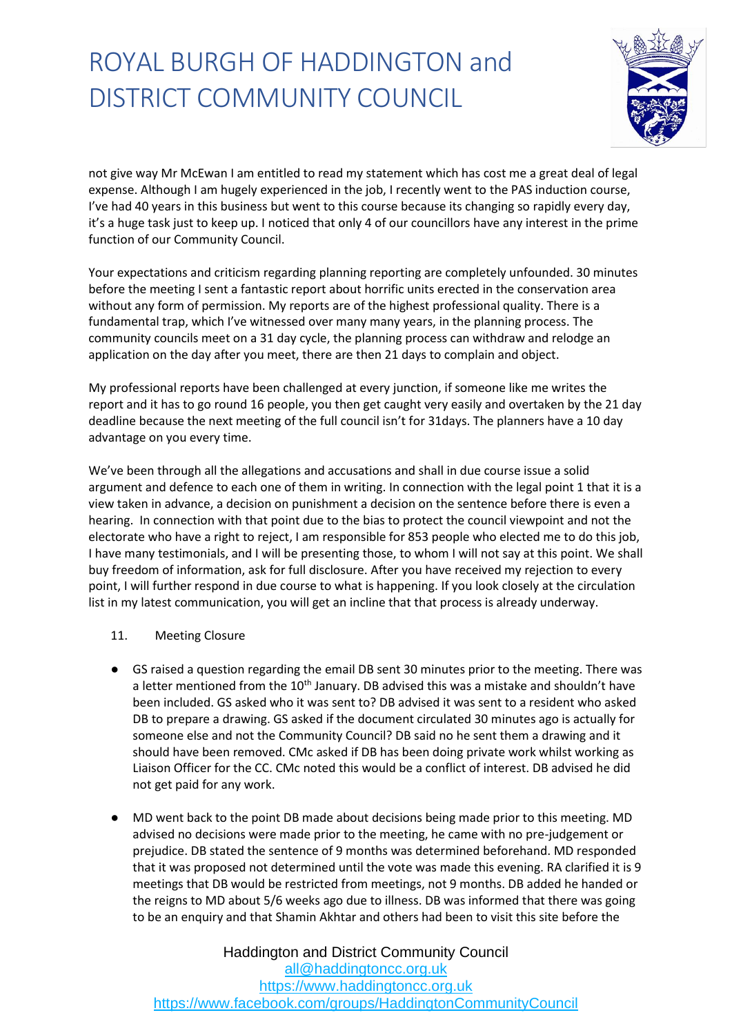

not give way Mr McEwan I am entitled to read my statement which has cost me a great deal of legal expense. Although I am hugely experienced in the job, I recently went to the PAS induction course, I've had 40 years in this business but went to this course because its changing so rapidly every day, it's a huge task just to keep up. I noticed that only 4 of our councillors have any interest in the prime function of our Community Council.

Your expectations and criticism regarding planning reporting are completely unfounded. 30 minutes before the meeting I sent a fantastic report about horrific units erected in the conservation area without any form of permission. My reports are of the highest professional quality. There is a fundamental trap, which I've witnessed over many many years, in the planning process. The community councils meet on a 31 day cycle, the planning process can withdraw and relodge an application on the day after you meet, there are then 21 days to complain and object.

My professional reports have been challenged at every junction, if someone like me writes the report and it has to go round 16 people, you then get caught very easily and overtaken by the 21 day deadline because the next meeting of the full council isn't for 31days. The planners have a 10 day advantage on you every time.

We've been through all the allegations and accusations and shall in due course issue a solid argument and defence to each one of them in writing. In connection with the legal point 1 that it is a view taken in advance, a decision on punishment a decision on the sentence before there is even a hearing. In connection with that point due to the bias to protect the council viewpoint and not the electorate who have a right to reject, I am responsible for 853 people who elected me to do this job, I have many testimonials, and I will be presenting those, to whom I will not say at this point. We shall buy freedom of information, ask for full disclosure. After you have received my rejection to every point, I will further respond in due course to what is happening. If you look closely at the circulation list in my latest communication, you will get an incline that that process is already underway.

- 11. Meeting Closure
- GS raised a question regarding the email DB sent 30 minutes prior to the meeting. There was a letter mentioned from the  $10<sup>th</sup>$  January. DB advised this was a mistake and shouldn't have been included. GS asked who it was sent to? DB advised it was sent to a resident who asked DB to prepare a drawing. GS asked if the document circulated 30 minutes ago is actually for someone else and not the Community Council? DB said no he sent them a drawing and it should have been removed. CMc asked if DB has been doing private work whilst working as Liaison Officer for the CC. CMc noted this would be a conflict of interest. DB advised he did not get paid for any work.
- MD went back to the point DB made about decisions being made prior to this meeting. MD advised no decisions were made prior to the meeting, he came with no pre-judgement or prejudice. DB stated the sentence of 9 months was determined beforehand. MD responded that it was proposed not determined until the vote was made this evening. RA clarified it is 9 meetings that DB would be restricted from meetings, not 9 months. DB added he handed or the reigns to MD about 5/6 weeks ago due to illness. DB was informed that there was going to be an enquiry and that Shamin Akhtar and others had been to visit this site before the